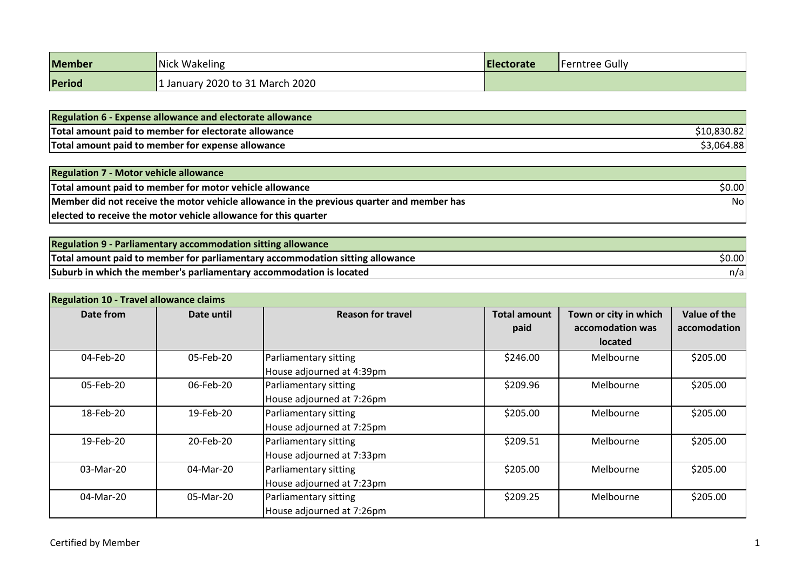| <b>Member</b> | Nick Wakeling                    | <b>IElectorate</b> | <b>'Ferntree Gully</b> |
|---------------|----------------------------------|--------------------|------------------------|
| Period        | 2020 to 31 March 2020<br>January |                    |                        |

| <b>Regulation 6 - Expense allowance and electorate allowance</b> |            |
|------------------------------------------------------------------|------------|
| Total amount paid to member for electorate allowance             | 10,830.82  |
| Total amount paid to member for expense allowance                | \$3,064.88 |

| <b>Regulation 7 - Motor vehicle allowance</b>                                             |        |
|-------------------------------------------------------------------------------------------|--------|
| Total amount paid to member for motor vehicle allowance                                   | \$0.00 |
| Member did not receive the motor vehicle allowance in the previous quarter and member has | Nol    |
| elected to receive the motor vehicle allowance for this quarter                           |        |

| <b>Regulation 9 - Parliamentary accommodation sitting allowance</b>           |        |
|-------------------------------------------------------------------------------|--------|
| Total amount paid to member for parliamentary accommodation sitting allowance | \$0.00 |
| Suburb in which the member's parliamentary accommodation is located           | n/a    |

| <b>Regulation 10 - Travel allowance claims</b> |            |                           |                     |                       |              |
|------------------------------------------------|------------|---------------------------|---------------------|-----------------------|--------------|
| Date from                                      | Date until | <b>Reason for travel</b>  | <b>Total amount</b> | Town or city in which | Value of the |
|                                                |            |                           | paid                | accomodation was      | accomodation |
|                                                |            |                           |                     | <b>located</b>        |              |
| 04-Feb-20                                      | 05-Feb-20  | Parliamentary sitting     | \$246.00            | Melbourne             | \$205.00     |
|                                                |            | House adjourned at 4:39pm |                     |                       |              |
| 05-Feb-20                                      | 06-Feb-20  | Parliamentary sitting     | \$209.96            | Melbourne             | \$205.00     |
|                                                |            | House adjourned at 7:26pm |                     |                       |              |
| 18-Feb-20                                      | 19-Feb-20  | Parliamentary sitting     | \$205.00            | Melbourne             | \$205.00     |
|                                                |            | House adjourned at 7:25pm |                     |                       |              |
| 19-Feb-20                                      | 20-Feb-20  | Parliamentary sitting     | \$209.51            | Melbourne             | \$205.00     |
|                                                |            | House adjourned at 7:33pm |                     |                       |              |
| 03-Mar-20                                      | 04-Mar-20  | Parliamentary sitting     | \$205.00            | Melbourne             | \$205.00     |
|                                                |            | House adjourned at 7:23pm |                     |                       |              |
| 04-Mar-20                                      | 05-Mar-20  | Parliamentary sitting     | \$209.25            | Melbourne             | \$205.00     |
|                                                |            | House adjourned at 7:26pm |                     |                       |              |